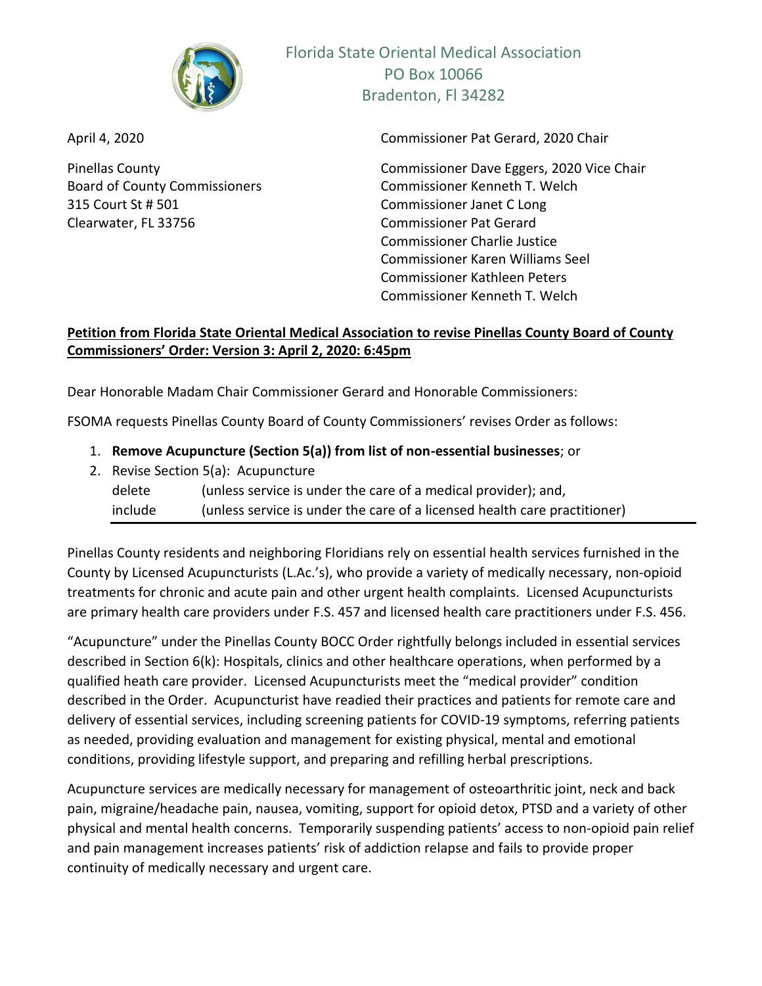

315 Court St # 501 Commissioner Janet C Long Clearwater, FL 33756 Commissioner Pat Gerard

Florida State Oriental Medical Association PO Box 10066 Bradenton, Fl 34282

April 4, 2020 Commissioner Pat Gerard, 2020 Chair

Pinellas County Commissioner Dave Eggers, 2020 Vice Chair Board of County Commissioners Commissioner Kenneth T. Welch Commissioner Charlie Justice Commissioner Karen Williams Seel Commissioner Kathleen Peters Commissioner Kenneth T. Welch

# **Petition from Florida State Oriental Medical Association to revise Pinellas County Board of County Commissioners' Order: Version 3: April 2, 2020: 6:45pm**

Dear Honorable Madam Chair Commissioner Gerard and Honorable Commissioners:

FSOMA requests Pinellas County Board of County Commissioners' revises Order as follows:

- 1. **Remove Acupuncture (Section 5(a)) from list of non-essential businesses**; or
- 2. Revise Section 5(a): Acupuncture delete (unless service is under the care of a medical provider); and, include (unless service is under the care of a licensed health care practitioner)

Pinellas County residents and neighboring Floridians rely on essential health services furnished in the County by Licensed Acupuncturists (L.Ac.'s), who provide a variety of medically necessary, non-opioid treatments for chronic and acute pain and other urgent health complaints. Licensed Acupuncturists are primary health care providers under F.S. 457 and licensed health care practitioners under F.S. 456.

"Acupuncture" under the Pinellas County BOCC Order rightfully belongs included in essential services described in Section 6(k): Hospitals, clinics and other healthcare operations, when performed by a qualified heath care provider. Licensed Acupuncturists meet the "medical provider" condition described in the Order. Acupuncturist have readied their practices and patients for remote care and delivery of essential services, including screening patients for COVID-19 symptoms, referring patients as needed, providing evaluation and management for existing physical, mental and emotional conditions, providing lifestyle support, and preparing and refilling herbal prescriptions.

Acupuncture services are medically necessary for management of osteoarthritic joint, neck and back pain, migraine/headache pain, nausea, vomiting, support for opioid detox, PTSD and a variety of other physical and mental health concerns. Temporarily suspending patients' access to non-opioid pain relief and pain management increases patients' risk of addiction relapse and fails to provide proper continuity of medically necessary and urgent care.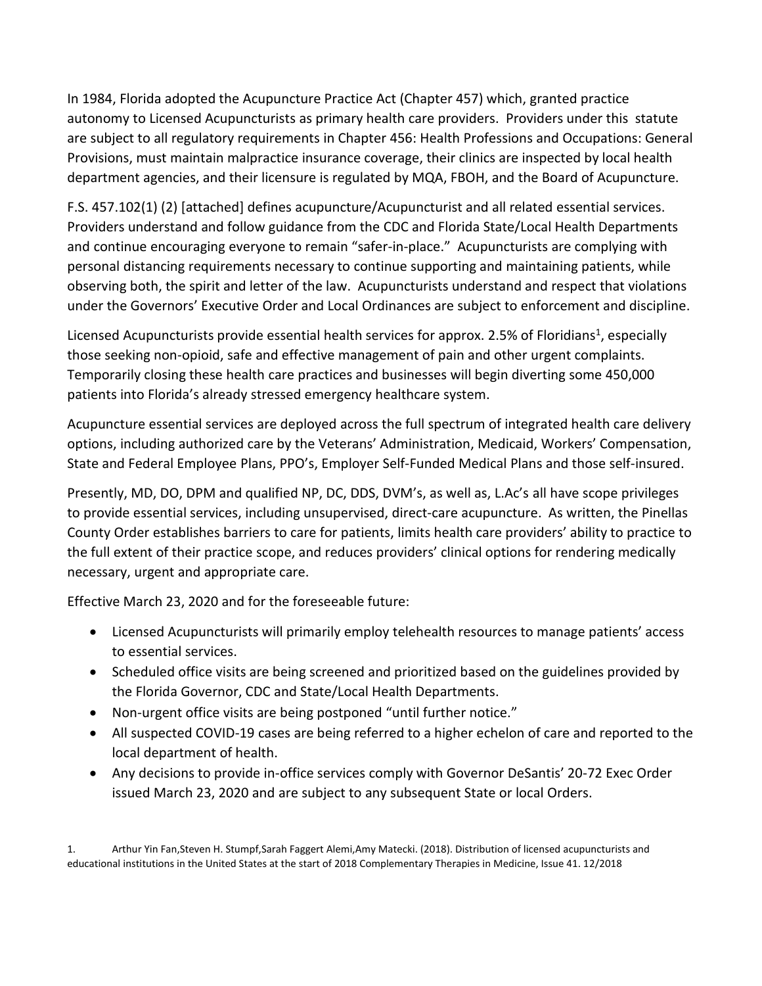In 1984, Florida adopted the Acupuncture Practice Act (Chapter 457) which, granted practice autonomy to Licensed Acupuncturists as primary health care providers. Providers under this statute are subject to all regulatory requirements in Chapter 456: Health Professions and Occupations: General Provisions, must maintain malpractice insurance coverage, their clinics are inspected by local health department agencies, and their licensure is regulated by MQA, FBOH, and the Board of Acupuncture.

F.S. 457.102(1) (2) [attached] defines acupuncture/Acupuncturist and all related essential services. Providers understand and follow guidance from the CDC and Florida State/Local Health Departments and continue encouraging everyone to remain "safer-in-place." Acupuncturists are complying with personal distancing requirements necessary to continue supporting and maintaining patients, while observing both, the spirit and letter of the law. Acupuncturists understand and respect that violations under the Governors' Executive Order and Local Ordinances are subject to enforcement and discipline.

Licensed Acupuncturists provide essential health services for approx. 2.5% of Floridians<sup>1</sup>, especially those seeking non-opioid, safe and effective management of pain and other urgent complaints. Temporarily closing these health care practices and businesses will begin diverting some 450,000 patients into Florida's already stressed emergency healthcare system.

Acupuncture essential services are deployed across the full spectrum of integrated health care delivery options, including authorized care by the Veterans' Administration, Medicaid, Workers' Compensation, State and Federal Employee Plans, PPO's, Employer Self-Funded Medical Plans and those self-insured.

Presently, MD, DO, DPM and qualified NP, DC, DDS, DVM's, as well as, L.Ac's all have scope privileges to provide essential services, including unsupervised, direct-care acupuncture. As written, the Pinellas County Order establishes barriers to care for patients, limits health care providers' ability to practice to the full extent of their practice scope, and reduces providers' clinical options for rendering medically necessary, urgent and appropriate care.

Effective March 23, 2020 and for the foreseeable future:

- Licensed Acupuncturists will primarily employ telehealth resources to manage patients' access to essential services.
- Scheduled office visits are being screened and prioritized based on the guidelines provided by the Florida Governor, CDC and State/Local Health Departments.
- Non-urgent office visits are being postponed "until further notice."
- All suspected COVID-19 cases are being referred to a higher echelon of care and reported to the local department of health.
- Any decisions to provide in-office services comply with Governor DeSantis' 20-72 Exec Order issued March 23, 2020 and are subject to any subsequent State or local Orders.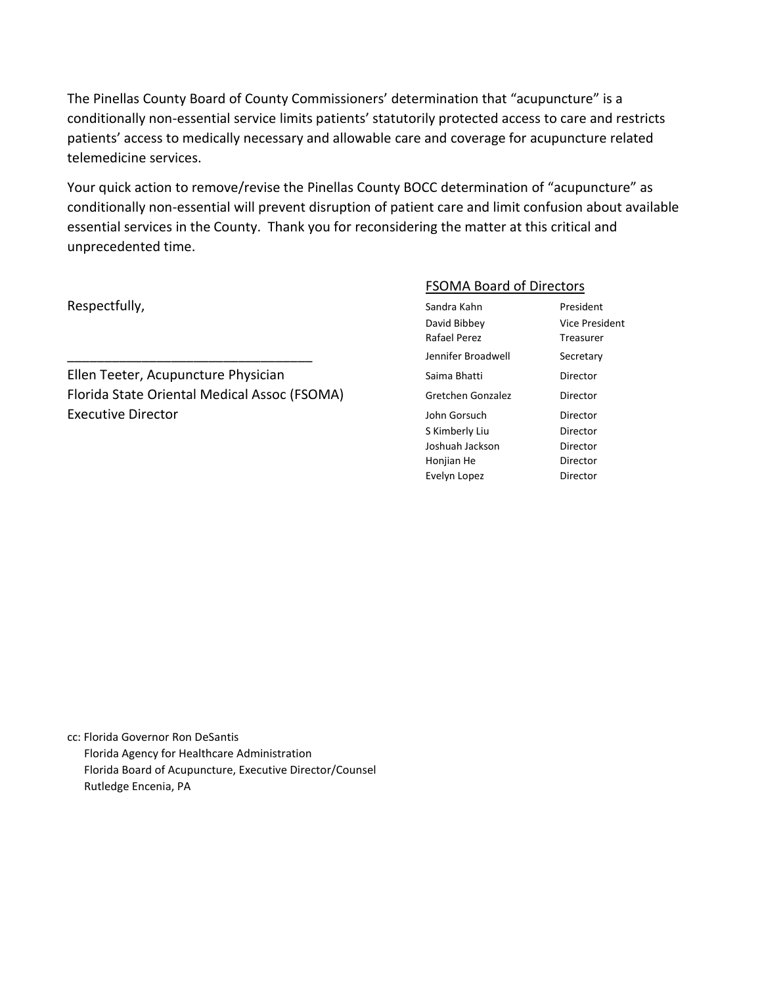The Pinellas County Board of County Commissioners' determination that "acupuncture" is a conditionally non-essential service limits patients' statutorily protected access to care and restricts patients' access to medically necessary and allowable care and coverage for acupuncture related telemedicine services.

Your quick action to remove/revise the Pinellas County BOCC determination of "acupuncture" as conditionally non-essential will prevent disruption of patient care and limit confusion about available essential services in the County. Thank you for reconsidering the matter at this critical and unprecedented time.

Respectfully,

#### FSOMA Board of Directors

| Respectfully,                                | Sandra Kahn        | President             |
|----------------------------------------------|--------------------|-----------------------|
|                                              | David Bibbey       | <b>Vice President</b> |
|                                              | Rafael Perez       | Treasurer             |
|                                              | Jennifer Broadwell | Secretary             |
| Ellen Teeter, Acupuncture Physician          | Saima Bhatti       | Director              |
| Florida State Oriental Medical Assoc (FSOMA) | Gretchen Gonzalez  | Director              |
| <b>Executive Director</b>                    | John Gorsuch       | Director              |
|                                              | S Kimberly Liu     | Director              |
|                                              | Joshuah Jackson    | Director              |
|                                              | Honjian He         | Director              |
|                                              | Evelyn Lopez       | Director              |
|                                              |                    |                       |

cc: Florida Governor Ron DeSantis Florida Agency for Healthcare Administration Florida Board of Acupuncture, Executive Director/Counsel Rutledge Encenia, PA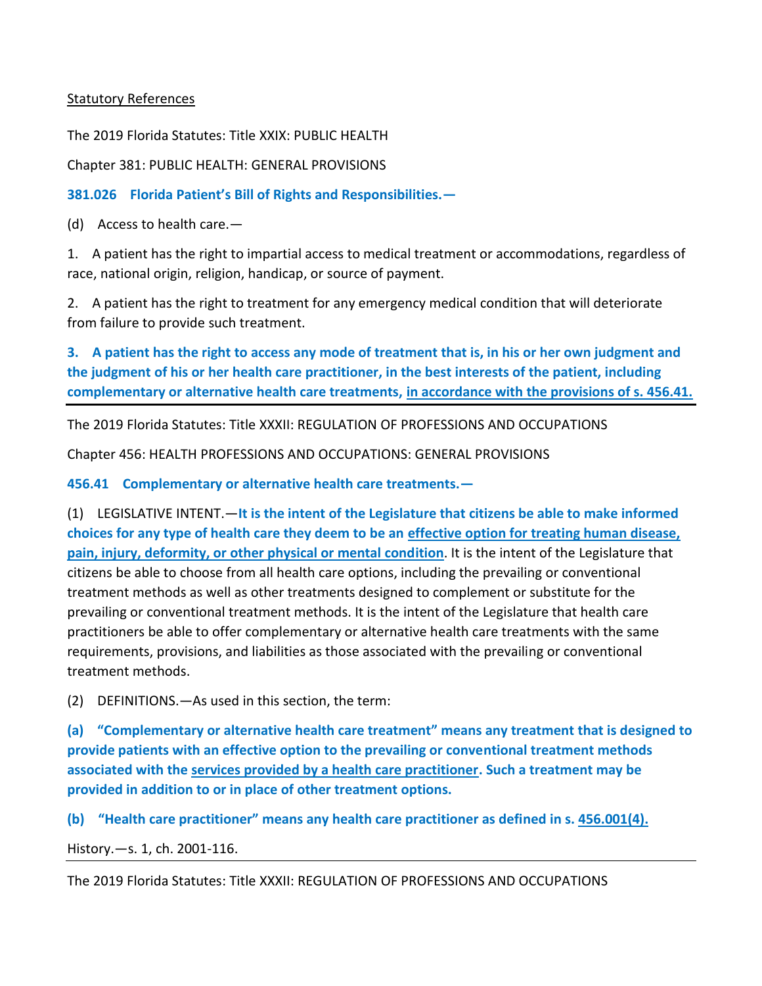# Statutory References

The 2019 Florida Statutes: Title XXIX: PUBLIC HEALTH

Chapter 381: PUBLIC HEALTH: GENERAL PROVISIONS

**381.026 Florida Patient's Bill of Rights and Responsibilities.—**

(d) Access to health care.—

1. A patient has the right to impartial access to medical treatment or accommodations, regardless of race, national origin, religion, handicap, or source of payment.

2. A patient has the right to treatment for any emergency medical condition that will deteriorate from failure to provide such treatment.

**3. A patient has the right to access any mode of treatment that is, in his or her own judgment and the judgment of his or her health care practitioner, in the best interests of the patient, including complementary or alternative health care treatments, in accordance with the provisions of s. 456.41.**

The 2019 Florida Statutes: Title XXXII: REGULATION OF PROFESSIONS AND OCCUPATIONS

Chapter 456: HEALTH PROFESSIONS AND OCCUPATIONS: GENERAL PROVISIONS

**456.41 Complementary or alternative health care treatments.—**

(1) LEGISLATIVE INTENT.—**It is the intent of the Legislature that citizens be able to make informed choices for any type of health care they deem to be an effective option for treating human disease, pain, injury, deformity, or other physical or mental condition**. It is the intent of the Legislature that citizens be able to choose from all health care options, including the prevailing or conventional treatment methods as well as other treatments designed to complement or substitute for the prevailing or conventional treatment methods. It is the intent of the Legislature that health care practitioners be able to offer complementary or alternative health care treatments with the same requirements, provisions, and liabilities as those associated with the prevailing or conventional treatment methods.

(2) DEFINITIONS.—As used in this section, the term:

**(a) "Complementary or alternative health care treatment" means any treatment that is designed to provide patients with an effective option to the prevailing or conventional treatment methods associated with the services provided by a health care practitioner. Such a treatment may be provided in addition to or in place of other treatment options.**

**(b) "Health care practitioner" means any health care practitioner as defined in s. 456.001(4).**

History.—s. 1, ch. 2001-116.

The 2019 Florida Statutes: Title XXXII: REGULATION OF PROFESSIONS AND OCCUPATIONS